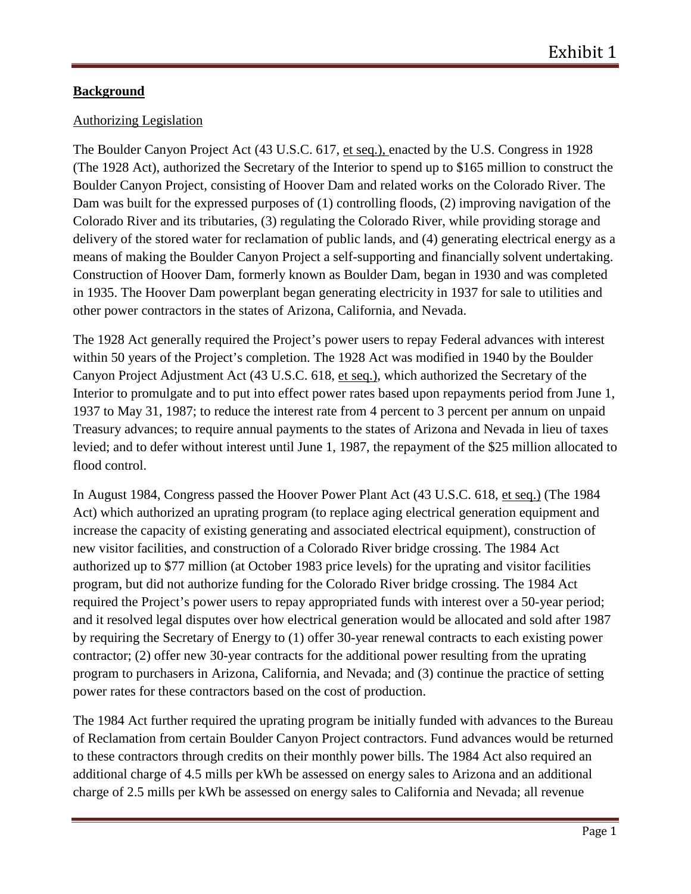# **Background**

## Authorizing Legislation

The Boulder Canyon Project Act (43 U.S.C. 617, et seq.), enacted by the U.S. Congress in 1928 (The 1928 Act), authorized the Secretary of the Interior to spend up to \$165 million to construct the Boulder Canyon Project, consisting of Hoover Dam and related works on the Colorado River. The Dam was built for the expressed purposes of (1) controlling floods, (2) improving navigation of the Colorado River and its tributaries, (3) regulating the Colorado River, while providing storage and delivery of the stored water for reclamation of public lands, and (4) generating electrical energy as a means of making the Boulder Canyon Project a self-supporting and financially solvent undertaking. Construction of Hoover Dam, formerly known as Boulder Dam, began in 1930 and was completed in 1935. The Hoover Dam powerplant began generating electricity in 1937 for sale to utilities and other power contractors in the states of Arizona, California, and Nevada.

The 1928 Act generally required the Project's power users to repay Federal advances with interest within 50 years of the Project's completion. The 1928 Act was modified in 1940 by the Boulder Canyon Project Adjustment Act (43 U.S.C. 618, et seq.), which authorized the Secretary of the Interior to promulgate and to put into effect power rates based upon repayments period from June 1, 1937 to May 31, 1987; to reduce the interest rate from 4 percent to 3 percent per annum on unpaid Treasury advances; to require annual payments to the states of Arizona and Nevada in lieu of taxes levied; and to defer without interest until June 1, 1987, the repayment of the \$25 million allocated to flood control.

In August 1984, Congress passed the Hoover Power Plant Act (43 U.S.C. 618, et seq.) (The 1984 Act) which authorized an uprating program (to replace aging electrical generation equipment and increase the capacity of existing generating and associated electrical equipment), construction of new visitor facilities, and construction of a Colorado River bridge crossing. The 1984 Act authorized up to \$77 million (at October 1983 price levels) for the uprating and visitor facilities program, but did not authorize funding for the Colorado River bridge crossing. The 1984 Act required the Project's power users to repay appropriated funds with interest over a 50-year period; and it resolved legal disputes over how electrical generation would be allocated and sold after 1987 by requiring the Secretary of Energy to (1) offer 30-year renewal contracts to each existing power contractor; (2) offer new 30-year contracts for the additional power resulting from the uprating program to purchasers in Arizona, California, and Nevada; and (3) continue the practice of setting power rates for these contractors based on the cost of production.

The 1984 Act further required the uprating program be initially funded with advances to the Bureau of Reclamation from certain Boulder Canyon Project contractors. Fund advances would be returned to these contractors through credits on their monthly power bills. The 1984 Act also required an additional charge of 4.5 mills per kWh be assessed on energy sales to Arizona and an additional charge of 2.5 mills per kWh be assessed on energy sales to California and Nevada; all revenue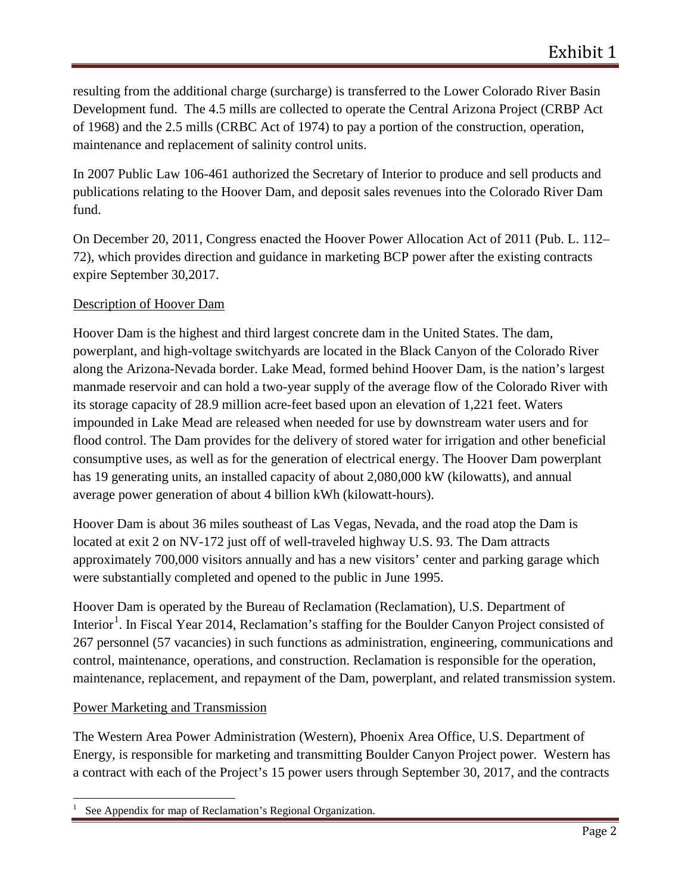resulting from the additional charge (surcharge) is transferred to the Lower Colorado River Basin Development fund. The 4.5 mills are collected to operate the Central Arizona Project (CRBP Act of 1968) and the 2.5 mills (CRBC Act of 1974) to pay a portion of the construction, operation, maintenance and replacement of salinity control units.

In 2007 Public Law 106-461 authorized the Secretary of Interior to produce and sell products and publications relating to the Hoover Dam, and deposit sales revenues into the Colorado River Dam fund.

On December 20, 2011, Congress enacted the Hoover Power Allocation Act of 2011 (Pub. L. 112– 72), which provides direction and guidance in marketing BCP power after the existing contracts expire September 30,2017.

# Description of Hoover Dam

Hoover Dam is the highest and third largest concrete dam in the United States. The dam, powerplant, and high-voltage switchyards are located in the Black Canyon of the Colorado River along the Arizona-Nevada border. Lake Mead, formed behind Hoover Dam, is the nation's largest manmade reservoir and can hold a two-year supply of the average flow of the Colorado River with its storage capacity of 28.9 million acre-feet based upon an elevation of 1,221 feet. Waters impounded in Lake Mead are released when needed for use by downstream water users and for flood control. The Dam provides for the delivery of stored water for irrigation and other beneficial consumptive uses, as well as for the generation of electrical energy. The Hoover Dam powerplant has 19 generating units, an installed capacity of about 2,080,000 kW (kilowatts), and annual average power generation of about 4 billion kWh (kilowatt-hours).

Hoover Dam is about 36 miles southeast of Las Vegas, Nevada, and the road atop the Dam is located at exit 2 on NV-172 just off of well-traveled highway U.S. 93. The Dam attracts approximately 700,000 visitors annually and has a new visitors' center and parking garage which were substantially completed and opened to the public in June 1995.

Hoover Dam is operated by the Bureau of Reclamation (Reclamation), U.S. Department of Interior<sup>[1](#page-1-0)</sup>. In Fiscal Year 2014, Reclamation's staffing for the Boulder Canyon Project consisted of 267 personnel (57 vacancies) in such functions as administration, engineering, communications and control, maintenance, operations, and construction. Reclamation is responsible for the operation, maintenance, replacement, and repayment of the Dam, powerplant, and related transmission system.

### Power Marketing and Transmission

The Western Area Power Administration (Western), Phoenix Area Office, U.S. Department of Energy, is responsible for marketing and transmitting Boulder Canyon Project power. Western has a contract with each of the Project's 15 power users through September 30, 2017, and the contracts

<span id="page-1-0"></span><sup>1</sup> See Appendix for map of Reclamation's Regional Organization.  $\overline{a}$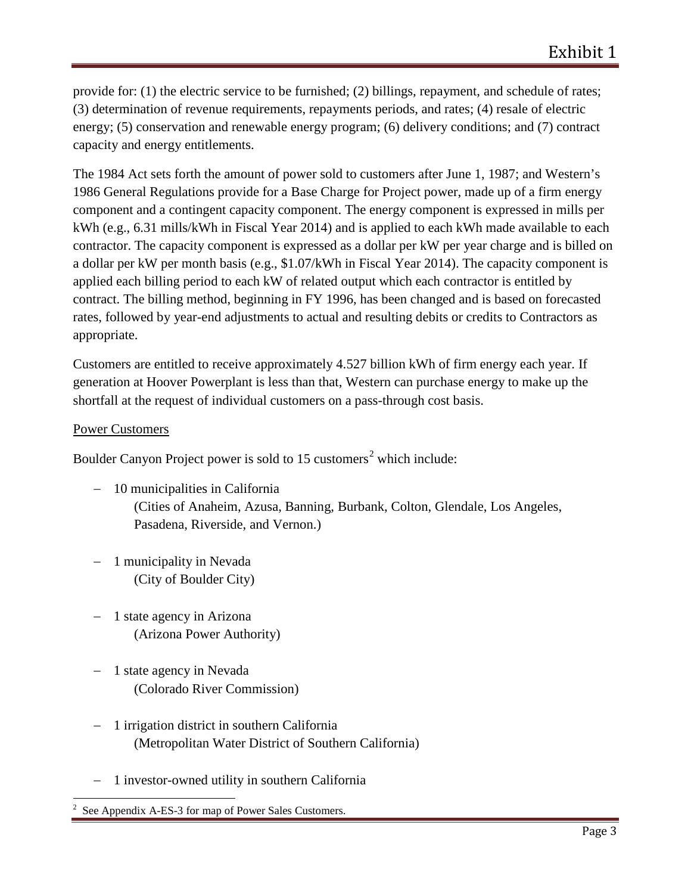provide for: (1) the electric service to be furnished; (2) billings, repayment, and schedule of rates; (3) determination of revenue requirements, repayments periods, and rates; (4) resale of electric energy; (5) conservation and renewable energy program; (6) delivery conditions; and (7) contract capacity and energy entitlements.

The 1984 Act sets forth the amount of power sold to customers after June 1, 1987; and Western's 1986 General Regulations provide for a Base Charge for Project power, made up of a firm energy component and a contingent capacity component. The energy component is expressed in mills per kWh (e.g., 6.31 mills/kWh in Fiscal Year 2014) and is applied to each kWh made available to each contractor. The capacity component is expressed as a dollar per kW per year charge and is billed on a dollar per kW per month basis (e.g., \$1.07/kWh in Fiscal Year 2014). The capacity component is applied each billing period to each kW of related output which each contractor is entitled by contract. The billing method, beginning in FY 1996, has been changed and is based on forecasted rates, followed by year-end adjustments to actual and resulting debits or credits to Contractors as appropriate.

Customers are entitled to receive approximately 4.527 billion kWh of firm energy each year. If generation at Hoover Powerplant is less than that, Western can purchase energy to make up the shortfall at the request of individual customers on a pass-through cost basis.

#### Power Customers

Boulder Canyon Project power is sold to 15 customers<sup>[2](#page-2-0)</sup> which include:

- − 10 municipalities in California (Cities of Anaheim, Azusa, Banning, Burbank, Colton, Glendale, Los Angeles, Pasadena, Riverside, and Vernon.)
- − 1 municipality in Nevada (City of Boulder City)
- − 1 state agency in Arizona (Arizona Power Authority)
- − 1 state agency in Nevada (Colorado River Commission)
- − 1 irrigation district in southern California (Metropolitan Water District of Southern California)
- − 1 investor-owned utility in southern California

<span id="page-2-0"></span><sup>2</sup> See Appendix A-ES-3 for map of Power Sales Customers.  $\overline{a}$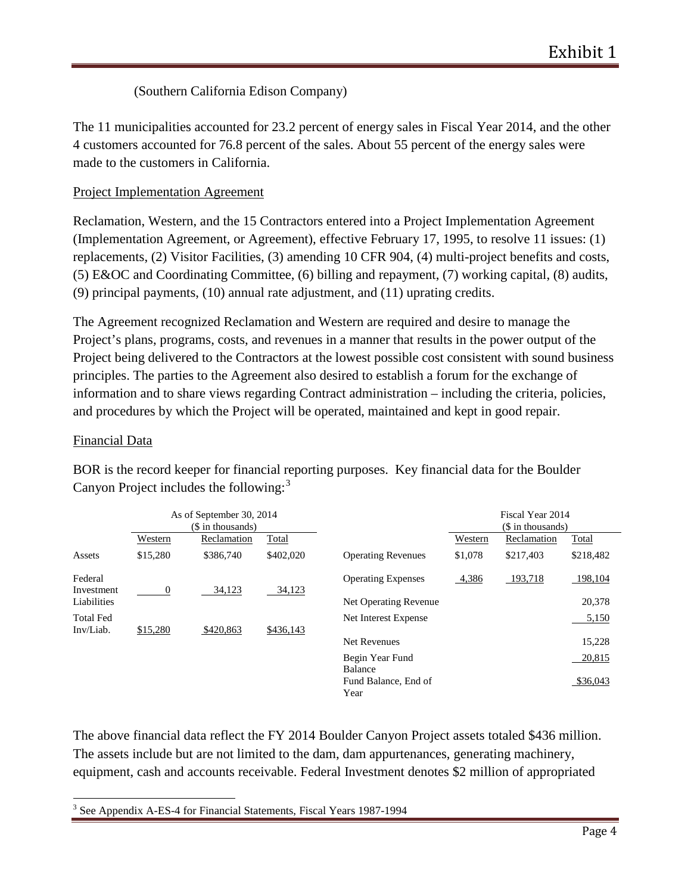# (Southern California Edison Company)

The 11 municipalities accounted for 23.2 percent of energy sales in Fiscal Year 2014, and the other 4 customers accounted for 76.8 percent of the sales. About 55 percent of the energy sales were made to the customers in California.

# Project Implementation Agreement

Reclamation, Western, and the 15 Contractors entered into a Project Implementation Agreement (Implementation Agreement, or Agreement), effective February 17, 1995, to resolve 11 issues: (1) replacements, (2) Visitor Facilities, (3) amending 10 CFR 904, (4) multi-project benefits and costs, (5) E&OC and Coordinating Committee, (6) billing and repayment, (7) working capital, (8) audits, (9) principal payments, (10) annual rate adjustment, and (11) uprating credits.

The Agreement recognized Reclamation and Western are required and desire to manage the Project's plans, programs, costs, and revenues in a manner that results in the power output of the Project being delivered to the Contractors at the lowest possible cost consistent with sound business principles. The parties to the Agreement also desired to establish a forum for the exchange of information and to share views regarding Contract administration – including the criteria, policies, and procedures by which the Project will be operated, maintained and kept in good repair.

## Financial Data

|                               |             | As of September 30, 2014<br>(\$ in thousands) |           |                              | Fiscal Year 2014<br>(\$ in thousands) |             |           |
|-------------------------------|-------------|-----------------------------------------------|-----------|------------------------------|---------------------------------------|-------------|-----------|
|                               | Western     | Reclamation                                   | Total     |                              | Western                               | Reclamation | Total     |
| Assets                        | \$15,280    | \$386,740                                     | \$402,020 | <b>Operating Revenues</b>    | \$1,078                               | \$217,403   | \$218,482 |
| Federal<br>Investment         | $\mathbf 0$ | 34,123                                        | 34,123    | <b>Operating Expenses</b>    | 4,386                                 | 193,718     | 198,104   |
| Liabilities                   |             |                                               |           | Net Operating Revenue        |                                       |             | 20,378    |
| <b>Total Fed</b><br>Inv/Liab. | \$15,280    | \$420,863                                     | \$436,143 | Net Interest Expense         |                                       |             | 5,150     |
|                               |             |                                               |           | <b>Net Revenues</b>          |                                       |             | 15,228    |
|                               |             |                                               |           | Begin Year Fund<br>Balance   |                                       |             | 20,815    |
|                               |             |                                               |           | Fund Balance, End of<br>Year |                                       |             | \$36,043  |

BOR is the record keeper for financial reporting purposes. Key financial data for the Boulder Canyon Project includes the following:<sup>[3](#page-3-0)</sup>

The above financial data reflect the FY 2014 Boulder Canyon Project assets totaled \$436 million. The assets include but are not limited to the dam, dam appurtenances, generating machinery, equipment, cash and accounts receivable. Federal Investment denotes \$2 million of appropriated

<span id="page-3-0"></span><sup>3</sup> See Appendix A-ES-4 for Financial Statements, Fiscal Years 1987-1994  $\overline{a}$